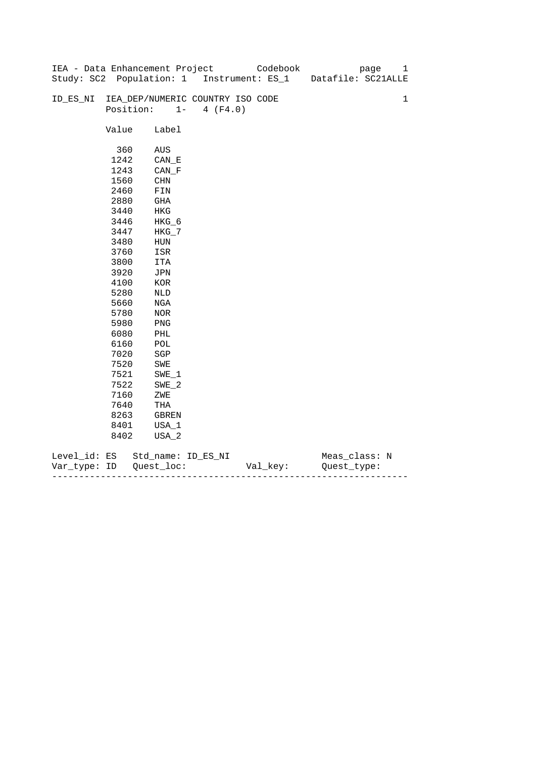|              |       | IEA - Data Enhancement Project   |                   | Codebook                                  | 1<br>page          |
|--------------|-------|----------------------------------|-------------------|-------------------------------------------|--------------------|
|              |       |                                  |                   | Study: SC2 Population: 1 Instrument: ES_1 | Datafile: SC21ALLE |
|              |       |                                  |                   |                                           |                    |
| ID_ES_NI     |       | IEA_DEP/NUMERIC COUNTRY ISO CODE |                   |                                           | $\mathbf 1$        |
|              |       | Position:                        | $1 -$<br>4 (F4.0) |                                           |                    |
|              |       |                                  |                   |                                           |                    |
|              | Value | Label                            |                   |                                           |                    |
|              |       |                                  |                   |                                           |                    |
|              | 360   | AUS                              |                   |                                           |                    |
|              | 1242  | $CAN$ <sub><math>E</math></sub>  |                   |                                           |                    |
|              | 1243  | CAN F                            |                   |                                           |                    |
|              | 1560  | CHN                              |                   |                                           |                    |
|              | 2460  | FIN                              |                   |                                           |                    |
|              | 2880  | GHA                              |                   |                                           |                    |
|              | 3440  | HKG                              |                   |                                           |                    |
|              | 3446  | $HKG_6$                          |                   |                                           |                    |
|              | 3447  | $HKG_7$                          |                   |                                           |                    |
|              | 3480  | HUN                              |                   |                                           |                    |
|              | 3760  | ISR                              |                   |                                           |                    |
|              | 3800  | ITA                              |                   |                                           |                    |
|              | 3920  | JPN                              |                   |                                           |                    |
|              | 4100  | KOR                              |                   |                                           |                    |
|              | 5280  | NLD                              |                   |                                           |                    |
|              | 5660  | NGA                              |                   |                                           |                    |
|              | 5780  | <b>NOR</b>                       |                   |                                           |                    |
|              | 5980  | PNG                              |                   |                                           |                    |
|              | 6080  | PHL                              |                   |                                           |                    |
|              | 6160  | $\mathop{\rm POL}\nolimits$      |                   |                                           |                    |
|              | 7020  | SGP                              |                   |                                           |                    |
|              | 7520  | SWE                              |                   |                                           |                    |
|              | 7521  | $SWE_1$                          |                   |                                           |                    |
|              | 7522  | $SWE_2$                          |                   |                                           |                    |
|              | 7160  | ZWE                              |                   |                                           |                    |
|              | 7640  | THA                              |                   |                                           |                    |
|              | 8263  | GBREN                            |                   |                                           |                    |
|              | 8401  | USA_1                            |                   |                                           |                    |
|              | 8402  | USA_2                            |                   |                                           |                    |
|              |       |                                  |                   |                                           |                    |
| Level_id: ES |       | Std_name: ID_ES_NI               |                   |                                           | Meas_class: N      |

| Var<br>туре.<br>. | TΡ | $ -$ | - |
|-------------------|----|------|---|
|                   |    |      |   |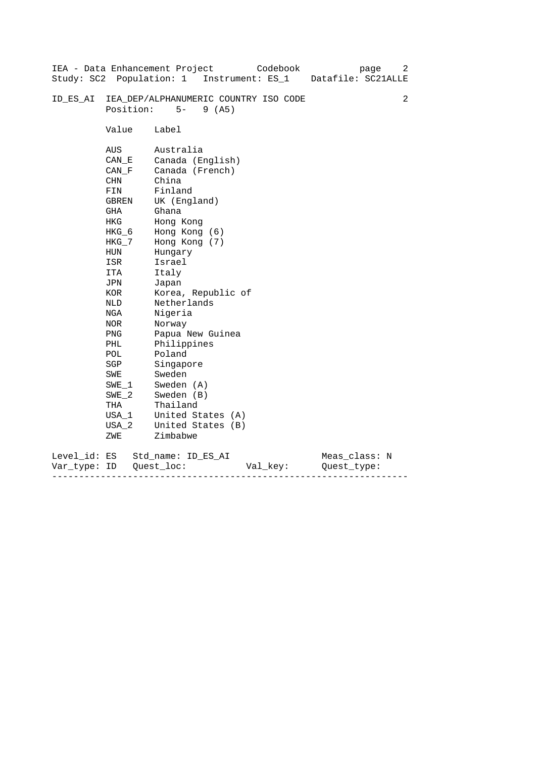|              |                | IEA - Data Enhancement Project<br>Codebook<br>page<br>Datafile: SC21ALLE | 2 |  |  |  |  |
|--------------|----------------|--------------------------------------------------------------------------|---|--|--|--|--|
|              |                | Study: SC2 Population: 1 Instrument: ES_1                                |   |  |  |  |  |
| ID ES AI     | Position:      | IEA_DEP/ALPHANUMERIC COUNTRY ISO CODE<br>$5-$<br>9(AB)                   | 2 |  |  |  |  |
|              |                |                                                                          |   |  |  |  |  |
|              | Value          | Label                                                                    |   |  |  |  |  |
|              | AUS            | Australia                                                                |   |  |  |  |  |
|              | CAN E          | Canada (English)                                                         |   |  |  |  |  |
|              | CAN F          | Canada (French)                                                          |   |  |  |  |  |
|              | CHN            | China                                                                    |   |  |  |  |  |
|              | FIN            | Finland                                                                  |   |  |  |  |  |
|              | GBREN          | UK (England)                                                             |   |  |  |  |  |
|              | GHA            | Ghana                                                                    |   |  |  |  |  |
|              | HKG            | Hong Kong<br>Hong Kong (6)                                               |   |  |  |  |  |
|              | HKG_6<br>HKG_7 | Hong Kong (7)                                                            |   |  |  |  |  |
|              | HUN            | Hungary                                                                  |   |  |  |  |  |
|              | ISR            | Israel                                                                   |   |  |  |  |  |
|              | ITA            | Italy                                                                    |   |  |  |  |  |
|              | JPN            | Japan                                                                    |   |  |  |  |  |
|              | KOR            | Korea, Republic of                                                       |   |  |  |  |  |
|              | NLD            | Netherlands                                                              |   |  |  |  |  |
|              | NGA            | Nigeria                                                                  |   |  |  |  |  |
|              | NOR            | Norway                                                                   |   |  |  |  |  |
|              | PNG            | Papua New Guinea                                                         |   |  |  |  |  |
|              | PHL            | Philippines                                                              |   |  |  |  |  |
|              | POL            | Poland                                                                   |   |  |  |  |  |
|              | SGP            | Singapore                                                                |   |  |  |  |  |
|              | SWE            | Sweden                                                                   |   |  |  |  |  |
|              | $SWE_1$        | Sweden (A)                                                               |   |  |  |  |  |
|              | $SWE_2$        | Sweden (B)                                                               |   |  |  |  |  |
|              | THA            | Thailand                                                                 |   |  |  |  |  |
|              | USA 1          | United States (A)                                                        |   |  |  |  |  |
|              | USA 2          | United States (B)                                                        |   |  |  |  |  |
|              | ZWE            | Zimbabwe                                                                 |   |  |  |  |  |
| Level_id: ES |                | Meas_class: N<br>Std name: ID ES AI                                      |   |  |  |  |  |
| Var_type:    | ID             | Quest loc:<br>Val_key:<br>Ouest type:                                    |   |  |  |  |  |

------------------------------------------------------------------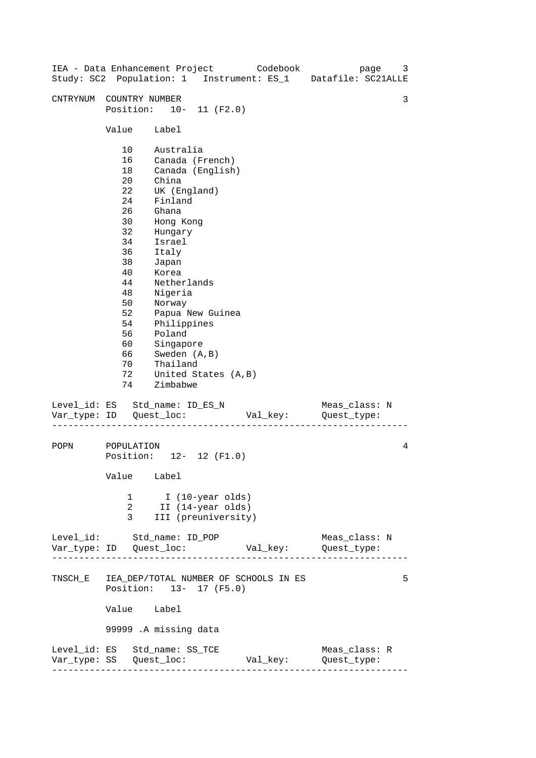| IEA - Data Enhancement Project Codebook<br>Study: SC2 Population: 1 Instrument: ES_1 Datafile: SC21ALLE |                                                                                                                                              |                                                                                                                                                                                                                                                                                                                           |                     |          |                                       | page | 3 |
|---------------------------------------------------------------------------------------------------------|----------------------------------------------------------------------------------------------------------------------------------------------|---------------------------------------------------------------------------------------------------------------------------------------------------------------------------------------------------------------------------------------------------------------------------------------------------------------------------|---------------------|----------|---------------------------------------|------|---|
| CNTRYNUM COUNTRY NUMBER                                                                                 | Position: 10- 11 (F2.0)                                                                                                                      |                                                                                                                                                                                                                                                                                                                           |                     |          |                                       |      | 3 |
|                                                                                                         | Value                                                                                                                                        | Label                                                                                                                                                                                                                                                                                                                     |                     |          |                                       |      |   |
|                                                                                                         | 10<br>16<br>18<br>20<br>22<br>24<br>26<br>30<br>32<br>34<br>36<br>38<br>40<br>44<br>48<br>50<br>52<br>54<br>56<br>60<br>66<br>70<br>72<br>74 | Australia<br>Canada (French)<br>Canada (English)<br>China<br>UK (England)<br>Finland<br>Ghana<br>Hong Kong<br>Hungary<br>Israel<br>Italy<br>Japan<br>Korea<br>Netherlands<br>Nigeria<br>Norway<br>Papua New Guinea<br>Philippines<br>Poland<br>Singapore<br>Sweden (A, B)<br>Thailand<br>United States (A, B)<br>Zimbabwe |                     |          |                                       |      |   |
| Level_id: ES Std_name: ID_ES_N                                                                          |                                                                                                                                              |                                                                                                                                                                                                                                                                                                                           |                     |          | Meas_class: N<br>Val_key: Quest_type: |      |   |
| POPN                                                                                                    | POPULATION<br>Position: 12- 12 (F1.0)<br>Value<br>1<br>2<br>3                                                                                | Label<br>I (10-year olds)<br>II (14-year olds)                                                                                                                                                                                                                                                                            | III (preuniversity) |          |                                       |      | 4 |
| Level_id: Std_name: ID_POP                                                                              |                                                                                                                                              |                                                                                                                                                                                                                                                                                                                           |                     |          | Meas_class: N                         |      |   |
| TNSCH_E IEA_DEP/TOTAL NUMBER OF SCHOOLS IN ES                                                           | Position: 13- 17 (F5.0)<br>Value Label<br>99999 .A missing data                                                                              |                                                                                                                                                                                                                                                                                                                           |                     |          |                                       |      | 5 |
| Level_id: ES Std_name: SS_TCE                                                                           |                                                                                                                                              |                                                                                                                                                                                                                                                                                                                           |                     | Val_key: | Meas_class: R<br>Quest_type:          |      |   |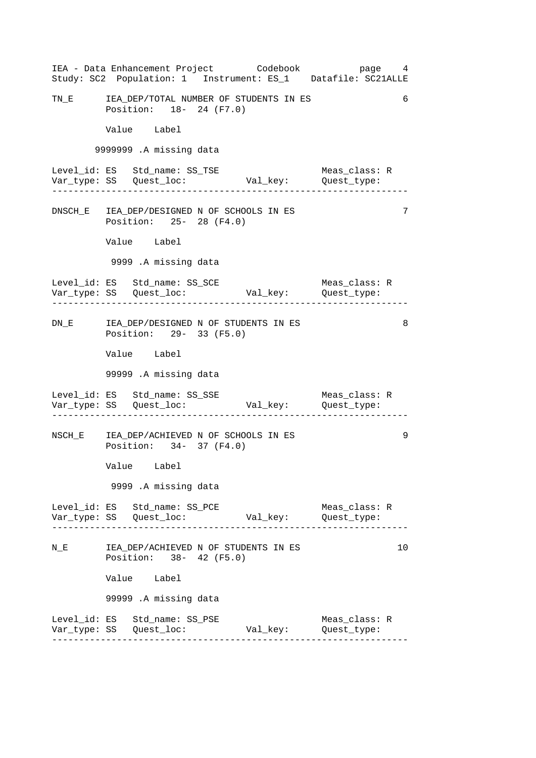------------------------------------------------------------------ ------------------------------------------------------------------ ------------------------------------------------------------------ ------------------------------------------------------------------ ------------------------------------------------------------------ 6 IEA - Data Enhancement Project Codebook page 4 Study: SC2 Population: 1 Instrument: ES\_1 Datafile: SC21ALLE TN\_E IEA\_DEP/TOTAL NUMBER OF STUDENTS IN ES Position: 18- 24 (F7.0) Value Label 9999999 .A missing data Level\_id: ES Std\_name: SS\_TSE Meas\_class: R Var\_type: SS Quest\_loc: Val\_key: Quest\_type: DNSCH\_E IEA\_DEP/DESIGNED N OF SCHOOLS IN ES 7 Position: 25- 28 (F4.0) Value Label 9999 .A missing data Level\_id: ES Std\_name: SS\_SCE Meas\_class: R Var\_type: SS Quest\_loc: Val\_key: Quest\_type: DN\_E IEA\_DEP/DESIGNED N OF STUDENTS IN ES 8 Position: 29- 33 (F5.0) Value Label 99999 .A missing data Level\_id: ES Std\_name: SS\_SSE Meas\_class: R Var\_type: SS Quest\_loc: Val\_key: Quest\_type: NSCH\_E IEA\_DEP/ACHIEVED N OF SCHOOLS IN ES 9 Position: 34- 37 (F4.0) Value Label 9999 .A missing data Level\_id: ES Std\_name: SS\_PCE Meas\_class: R Var\_type: SS Quest\_loc: Val\_key: Quest\_type: N\_E TEA\_DEP/ACHIEVED N OF STUDENTS IN ES 10 10 Position: 38- 42 (F5.0) Value Label 99999 .A missing data Level\_id: ES Std\_name: SS\_PSE Meas\_class: R Var\_type: SS Quest\_loc: Val\_key: Quest\_type: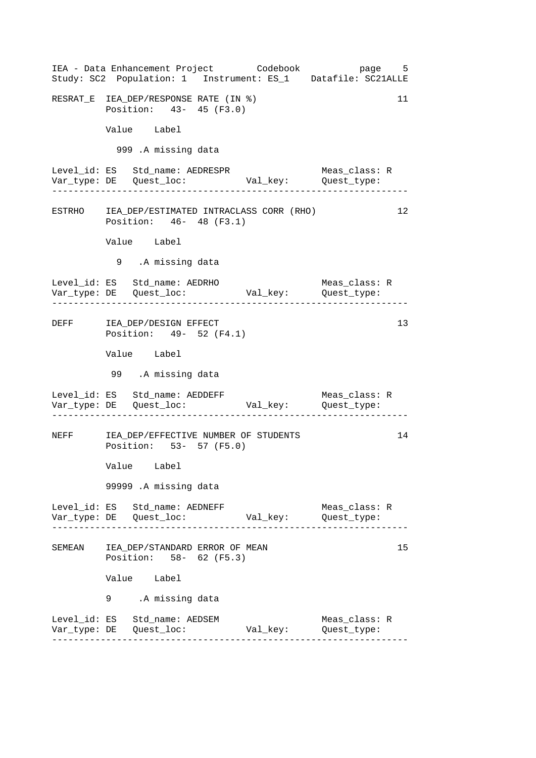------------------------------------------------------------------ ------------------------------------------------------------------ ------------------------------------------------------------------ ------------------------------------------------------------------ ------------------------------------------------------------------ IEA - Data Enhancement Project Codebook page 5 Study: SC2 Population: 1 Instrument: ES\_1 Datafile: SC21ALLE RESRAT\_E IEA\_DEP/RESPONSE RATE (IN %) 11 Position: 43- 45 (F3.0) Value Label 999 .A missing data Level\_id: ES Std\_name: AEDRESPR Meas\_class: R Var\_type: DE Quest\_loc: Val\_key: Quest\_type: ESTRHO IEA\_DEP/ESTIMATED INTRACLASS CORR (RHO) 12 Position: 46- 48 (F3.1) Value Label 9 .A missing data Level\_id: ES Std\_name: AEDRHO Meas\_class: R Var\_type: DE Quest\_loc: Val\_key: Quest\_type: DEFF IEA\_DEP/DESIGN EFFECT 13 Position: 49- 52 (F4.1) Value Label 99 .A missing data Level\_id: ES Std\_name: AEDDEFF Meas\_class: R Var\_type: DE Quest\_loc: Val\_key: Quest\_type: NEFF IEA\_DEP/EFFECTIVE NUMBER OF STUDENTS 14 Position: 53- 57 (F5.0) Value Label 99999 .A missing data Level\_id: ES Std\_name: AEDNEFF Meas\_class: R Var\_type: DE Quest\_loc: Val\_key: Quest\_type: SEMEAN IEA DEP/STANDARD ERROR OF MEAN Position: 58- 62 (F5.3) Value Label .A missing data 9 Level\_id: ES Std\_name: AEDSEM Meas\_class: R Var\_type: DE Quest\_loc: Val\_key: Quest\_type: 15